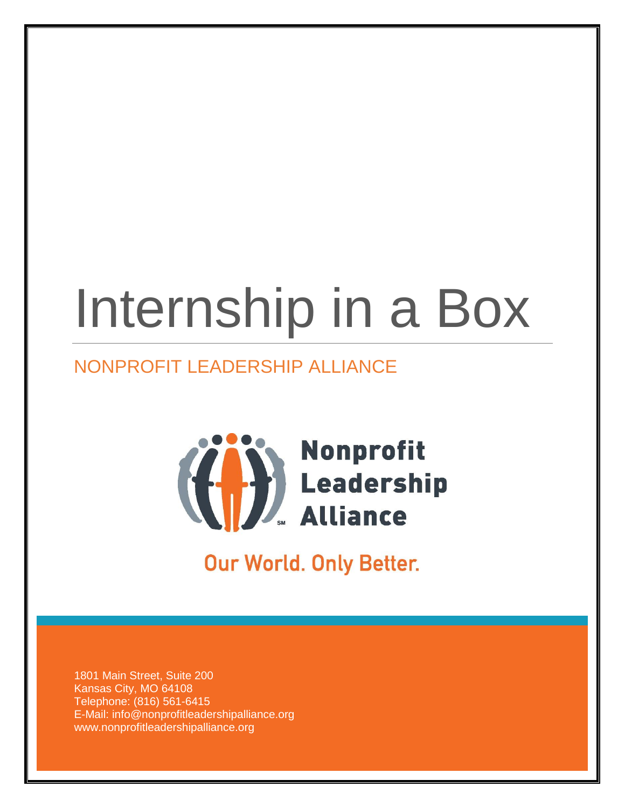# Internship in a Box

## NONPROFIT LEADERSHIP ALLIANCE



**Our World. Only Better.** 

1801 Main Street, Suite 200 Kansas City, MO 64108 Telephone: (816) 561-6415 E-Mail: info@nonprofitleadershipalliance.org www.nonprofitleadershipalliance.org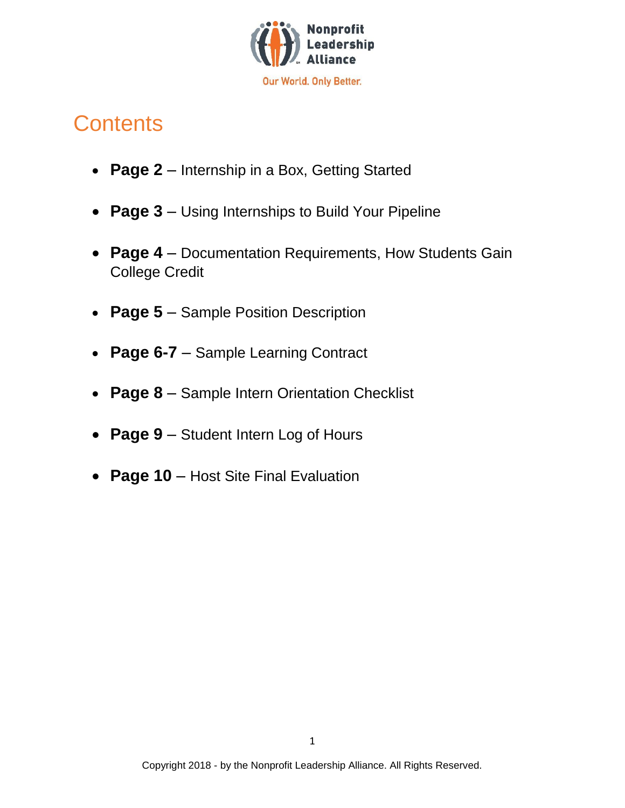

## **Contents**

- **Page 2** Internship in a Box, Getting Started
- **Page 3** Using Internships to Build Your Pipeline
- **Page 4** Documentation Requirements, How Students Gain College Credit
- **Page 5** Sample Position Description
- **Page 6-7** Sample Learning Contract
- **Page 8** Sample Intern Orientation Checklist
- **Page 9** Student Intern Log of Hours
- **Page 10** Host Site Final Evaluation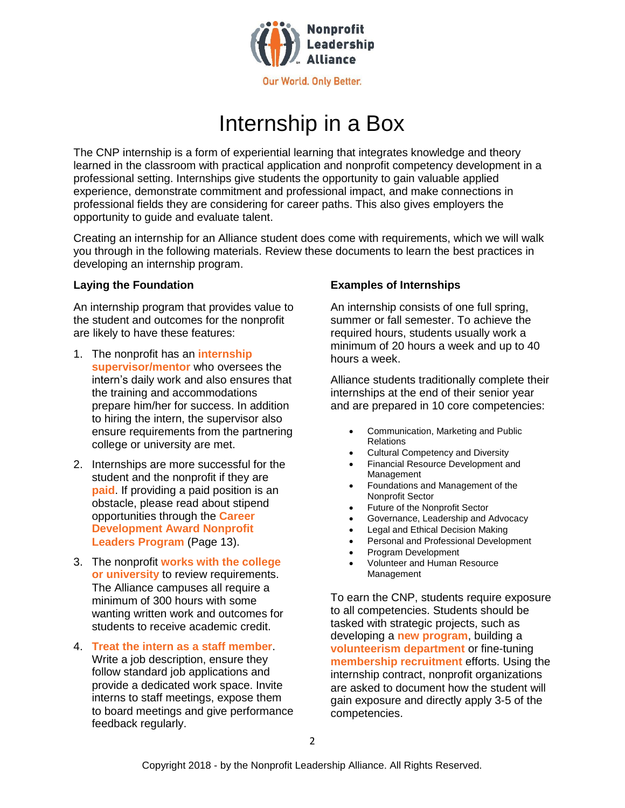

## Internship in a Box

The CNP internship is a form of experiential learning that integrates knowledge and theory learned in the classroom with practical application and nonprofit competency development in a professional setting. Internships give students the opportunity to gain valuable applied experience, demonstrate commitment and professional impact, and make connections in professional fields they are considering for career paths. This also gives employers the opportunity to guide and evaluate talent.

Creating an internship for an Alliance student does come with requirements, which we will walk you through in the following materials. Review these documents to learn the best practices in developing an internship program.

An internship program that provides value to the student and outcomes for the nonprofit are likely to have these features:

- 1. The nonprofit has an **internship supervisor/mentor** who oversees the intern's daily work and also ensures that the training and accommodations prepare him/her for success. In addition to hiring the intern, the supervisor also ensure requirements from the partnering college or university are met.
- 2. Internships are more successful for the student and the nonprofit if they are **paid**. If providing a paid position is an obstacle, please read about stipend opportunities through the **Career Development Award Nonprofit Leaders Program** (Page 13).
- 3. The nonprofit **works with the college or university** to review requirements. The Alliance campuses all require a minimum of 300 hours with some wanting written work and outcomes for students to receive academic credit.
- 4. **Treat the intern as a staff member**. Write a job description, ensure they follow standard job applications and provide a dedicated work space. Invite interns to staff meetings, expose them to board meetings and give performance feedback regularly.

#### **Laying the Foundation Examples of Internships**

An internship consists of one full spring, summer or fall semester. To achieve the required hours, students usually work a minimum of 20 hours a week and up to 40 hours a week.

Alliance students traditionally complete their internships at the end of their senior year and are prepared in 10 core competencies:

- Communication, Marketing and Public Relations
- Cultural Competency and Diversity
- Financial Resource Development and Management
- Foundations and Management of the Nonprofit Sector
- Future of the Nonprofit Sector
- Governance, Leadership and Advocacy
- Legal and Ethical Decision Making
- Personal and Professional Development
- Program Development
- Volunteer and Human Resource Management

To earn the CNP, students require exposure to all competencies. Students should be tasked with strategic projects, such as developing a **new program**, building a **volunteerism department** or fine-tuning **membership recruitment** efforts. Using the internship contract, nonprofit organizations are asked to document how the student will gain exposure and directly apply 3-5 of the competencies.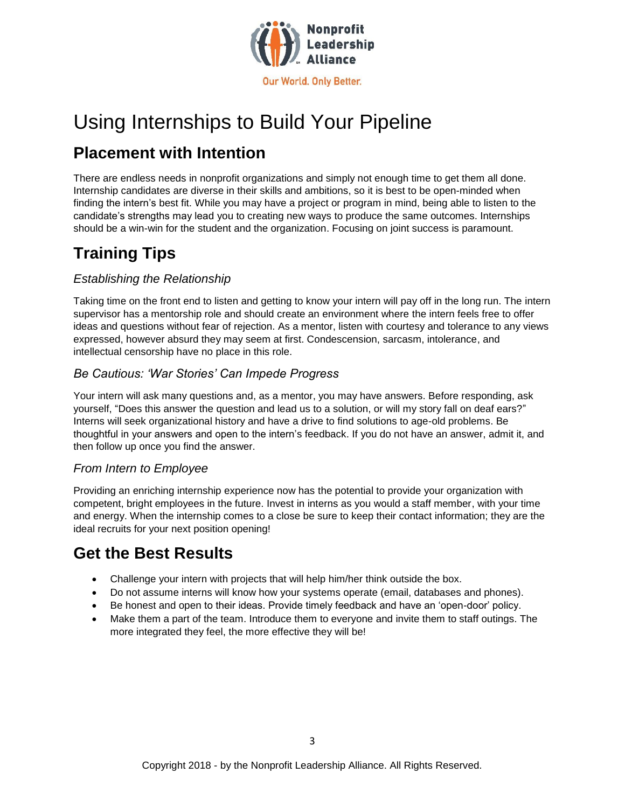

## Using Internships to Build Your Pipeline

## **Placement with Intention**

There are endless needs in nonprofit organizations and simply not enough time to get them all done. Internship candidates are diverse in their skills and ambitions, so it is best to be open-minded when finding the intern's best fit. While you may have a project or program in mind, being able to listen to the candidate's strengths may lead you to creating new ways to produce the same outcomes. Internships should be a win-win for the student and the organization. Focusing on joint success is paramount.

## **Training Tips**

### *Establishing the Relationship*

Taking time on the front end to listen and getting to know your intern will pay off in the long run. The intern supervisor has a mentorship role and should create an environment where the intern feels free to offer ideas and questions without fear of rejection. As a mentor, listen with courtesy and tolerance to any views expressed, however absurd they may seem at first. Condescension, sarcasm, intolerance, and intellectual censorship have no place in this role.

### *Be Cautious: 'War Stories' Can Impede Progress*

Your intern will ask many questions and, as a mentor, you may have answers. Before responding, ask yourself, "Does this answer the question and lead us to a solution, or will my story fall on deaf ears?" Interns will seek organizational history and have a drive to find solutions to age-old problems. Be thoughtful in your answers and open to the intern's feedback. If you do not have an answer, admit it, and then follow up once you find the answer.

#### *From Intern to Employee*

Providing an enriching internship experience now has the potential to provide your organization with competent, bright employees in the future. Invest in interns as you would a staff member, with your time and energy. When the internship comes to a close be sure to keep their contact information; they are the ideal recruits for your next position opening!

## **Get the Best Results**

- Challenge your intern with projects that will help him/her think outside the box.
- Do not assume interns will know how your systems operate (email, databases and phones).
- Be honest and open to their ideas. Provide timely feedback and have an 'open-door' policy.
- Make them a part of the team. Introduce them to everyone and invite them to staff outings. The more integrated they feel, the more effective they will be!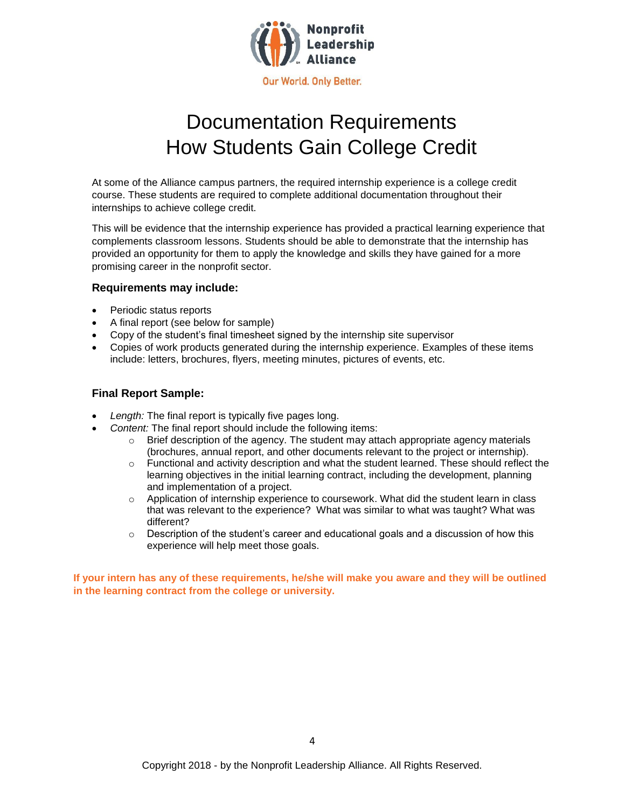

## Documentation Requirements How Students Gain College Credit

At some of the Alliance campus partners, the required internship experience is a college credit course. These students are required to complete additional documentation throughout their internships to achieve college credit.

This will be evidence that the internship experience has provided a practical learning experience that complements classroom lessons. Students should be able to demonstrate that the internship has provided an opportunity for them to apply the knowledge and skills they have gained for a more promising career in the nonprofit sector.

#### **Requirements may include:**

- Periodic status reports
- A final report (see below for sample)
- Copy of the student's final timesheet signed by the internship site supervisor
- Copies of work products generated during the internship experience. Examples of these items include: letters, brochures, flyers, meeting minutes, pictures of events, etc.

#### **Final Report Sample:**

- *Length:* The final report is typically five pages long.
- *Content:* The final report should include the following items:
	- $\circ$  Brief description of the agency. The student may attach appropriate agency materials (brochures, annual report, and other documents relevant to the project or internship).
	- $\circ$  Functional and activity description and what the student learned. These should reflect the learning objectives in the initial learning contract, including the development, planning and implementation of a project.
	- $\circ$  Application of internship experience to coursework. What did the student learn in class that was relevant to the experience? What was similar to what was taught? What was different?
	- $\circ$  Description of the student's career and educational goals and a discussion of how this experience will help meet those goals.

**If your intern has any of these requirements, he/she will make you aware and they will be outlined in the learning contract from the college or university.**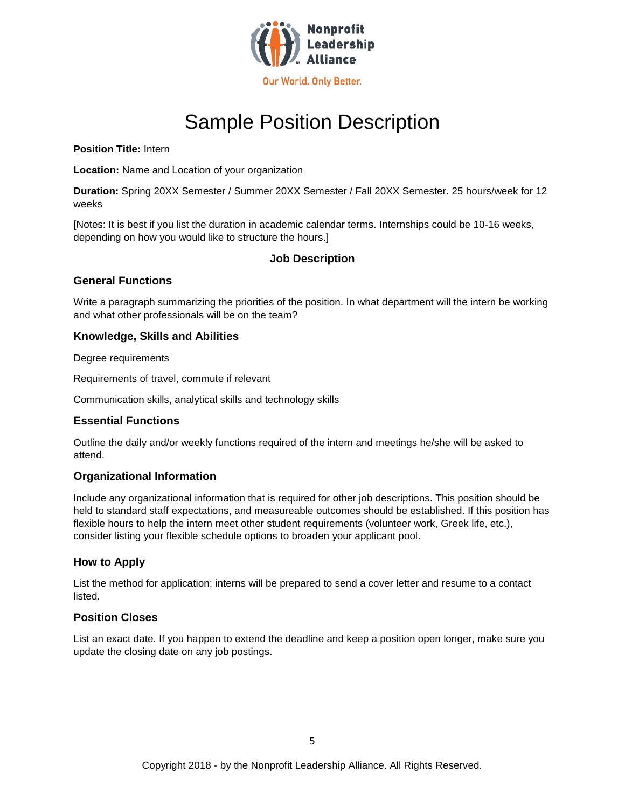

## Sample Position Description

**Position Title:** Intern

**Location:** Name and Location of your organization

**Duration:** Spring 20XX Semester / Summer 20XX Semester / Fall 20XX Semester. 25 hours/week for 12 weeks

[Notes: It is best if you list the duration in academic calendar terms. Internships could be 10-16 weeks, depending on how you would like to structure the hours.]

#### **Job Description**

#### **General Functions**

Write a paragraph summarizing the priorities of the position. In what department will the intern be working and what other professionals will be on the team?

#### **Knowledge, Skills and Abilities**

Degree requirements

Requirements of travel, commute if relevant

Communication skills, analytical skills and technology skills

#### **Essential Functions**

Outline the daily and/or weekly functions required of the intern and meetings he/she will be asked to attend.

#### **Organizational Information**

Include any organizational information that is required for other job descriptions. This position should be held to standard staff expectations, and measureable outcomes should be established. If this position has flexible hours to help the intern meet other student requirements (volunteer work, Greek life, etc.), consider listing your flexible schedule options to broaden your applicant pool.

#### **How to Apply**

List the method for application; interns will be prepared to send a cover letter and resume to a contact listed.

#### **Position Closes**

List an exact date. If you happen to extend the deadline and keep a position open longer, make sure you update the closing date on any job postings.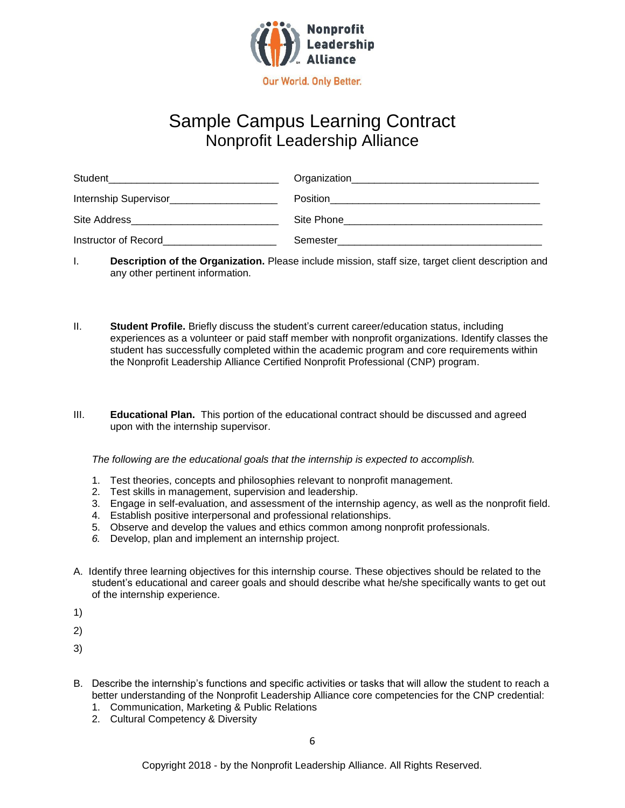

## Sample Campus Learning Contract Nonprofit Leadership Alliance

| Student               | Organization |
|-----------------------|--------------|
| Internship Supervisor | Position     |
| Site Address          | Site Phone   |
| Instructor of Record  | Semester     |

- I. **Description of the Organization.** Please include mission, staff size, target client description and any other pertinent information.
- II. **Student Profile.** Briefly discuss the student's current career/education status, including experiences as a volunteer or paid staff member with nonprofit organizations. Identify classes the student has successfully completed within the academic program and core requirements within the Nonprofit Leadership Alliance Certified Nonprofit Professional (CNP) program.
- III. **Educational Plan.** This portion of the educational contract should be discussed and agreed upon with the internship supervisor.

*The following are the educational goals that the internship is expected to accomplish.*

- 1. Test theories, concepts and philosophies relevant to nonprofit management.
- 2. Test skills in management, supervision and leadership.
- 3. Engage in self-evaluation, and assessment of the internship agency, as well as the nonprofit field.
- 4. Establish positive interpersonal and professional relationships.
- 5. Observe and develop the values and ethics common among nonprofit professionals.
- *6.* Develop, plan and implement an internship project.
- A. Identify three learning objectives for this internship course. These objectives should be related to the student's educational and career goals and should describe what he/she specifically wants to get out of the internship experience.
- 1)
- 2)
- 3)
- B. Describe the internship's functions and specific activities or tasks that will allow the student to reach a better understanding of the Nonprofit Leadership Alliance core competencies for the CNP credential:
	- 1. Communication, Marketing & Public Relations
	- 2. Cultural Competency & Diversity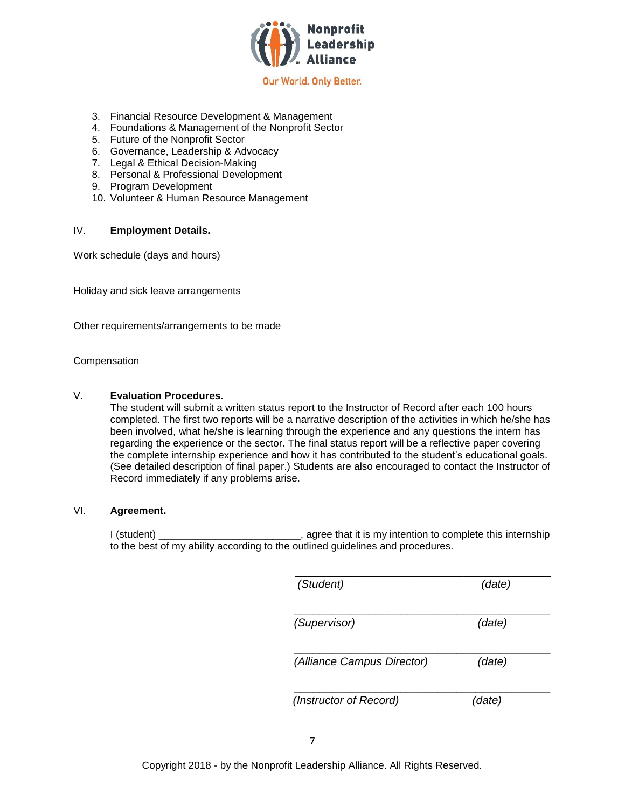

- 3. Financial Resource Development & Management
- 4. Foundations & Management of the Nonprofit Sector
- 5. Future of the Nonprofit Sector
- 6. Governance, Leadership & Advocacy
- 7. Legal & Ethical Decision-Making
- 8. Personal & Professional Development
- 9. Program Development
- 10. Volunteer & Human Resource Management

#### IV. **Employment Details.**

Work schedule (days and hours)

Holiday and sick leave arrangements

Other requirements/arrangements to be made

#### Compensation

#### V. **Evaluation Procedures.**

The student will submit a written status report to the Instructor of Record after each 100 hours completed. The first two reports will be a narrative description of the activities in which he/she has been involved, what he/she is learning through the experience and any questions the intern has regarding the experience or the sector. The final status report will be a reflective paper covering the complete internship experience and how it has contributed to the student's educational goals. (See detailed description of final paper.) Students are also encouraged to contact the Instructor of Record immediately if any problems arise.

#### VI. **Agreement.**

I (student) \_\_\_\_\_\_\_\_\_\_\_\_\_\_\_\_\_\_\_\_\_\_\_\_\_\_, agree that it is my intention to complete this internship to the best of my ability according to the outlined guidelines and procedures.

| (Student)                  | (date) |
|----------------------------|--------|
| (Supervisor)               | (date) |
| (Alliance Campus Director) | (date) |
| (Instructor of Record)     | (date) |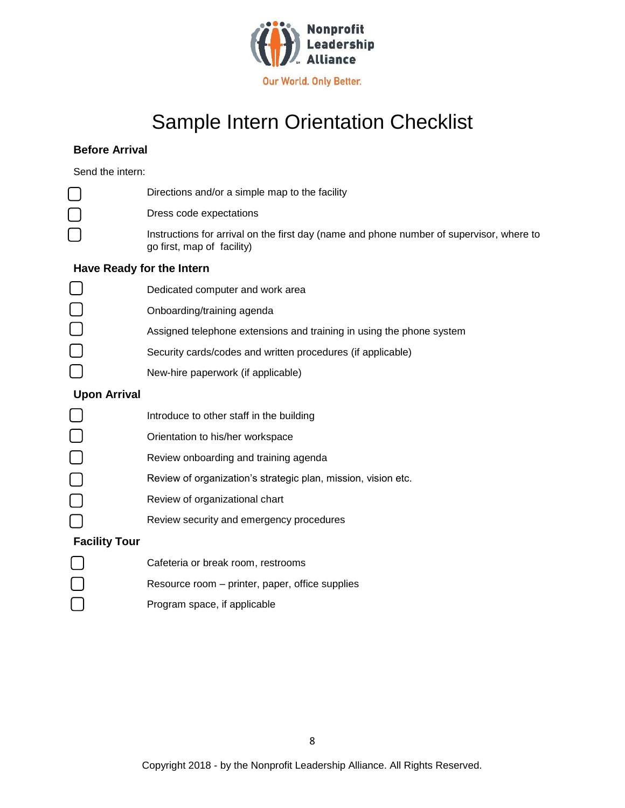

## Sample Intern Orientation Checklist

#### **Before Arrival**

Send the intern:

|                           | Directions and/or a simple map to the facility                                                                         |  |  |
|---------------------------|------------------------------------------------------------------------------------------------------------------------|--|--|
|                           | Dress code expectations                                                                                                |  |  |
|                           | Instructions for arrival on the first day (name and phone number of supervisor, where to<br>go first, map of facility) |  |  |
| Have Ready for the Intern |                                                                                                                        |  |  |
|                           | Dedicated computer and work area                                                                                       |  |  |
|                           | Onboarding/training agenda                                                                                             |  |  |
|                           | Assigned telephone extensions and training in using the phone system                                                   |  |  |
|                           | Security cards/codes and written procedures (if applicable)                                                            |  |  |
|                           | New-hire paperwork (if applicable)                                                                                     |  |  |
| <b>Upon Arrival</b>       |                                                                                                                        |  |  |
|                           | Introduce to other staff in the building                                                                               |  |  |
|                           | Orientation to his/her workspace                                                                                       |  |  |
|                           | Review onboarding and training agenda                                                                                  |  |  |
|                           | Review of organization's strategic plan, mission, vision etc.                                                          |  |  |
|                           | Review of organizational chart                                                                                         |  |  |
|                           | Review security and emergency procedures                                                                               |  |  |
| <b>Facility Tour</b>      |                                                                                                                        |  |  |
|                           | Cafeteria or break room, restrooms                                                                                     |  |  |
|                           | Resource room – printer, paper, office supplies                                                                        |  |  |
|                           | Program space, if applicable                                                                                           |  |  |

Program space, if applicable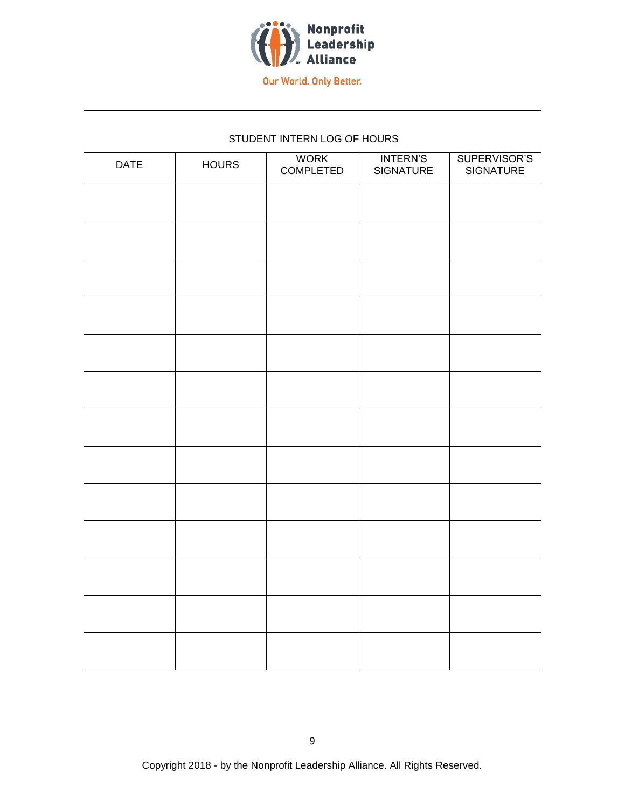

|             |              | STUDENT INTERN LOG OF HOURS     |                              |                                  |
|-------------|--------------|---------------------------------|------------------------------|----------------------------------|
| <b>DATE</b> | <b>HOURS</b> | <b>WORK</b><br><b>COMPLETED</b> | <b>INTERN'S</b><br>SIGNATURE | SUPERVISOR'S<br><b>SIGNATURE</b> |
|             |              |                                 |                              |                                  |
|             |              |                                 |                              |                                  |
|             |              |                                 |                              |                                  |
|             |              |                                 |                              |                                  |
|             |              |                                 |                              |                                  |
|             |              |                                 |                              |                                  |
|             |              |                                 |                              |                                  |
|             |              |                                 |                              |                                  |
|             |              |                                 |                              |                                  |
|             |              |                                 |                              |                                  |
|             |              |                                 |                              |                                  |
|             |              |                                 |                              |                                  |
|             |              |                                 |                              |                                  |